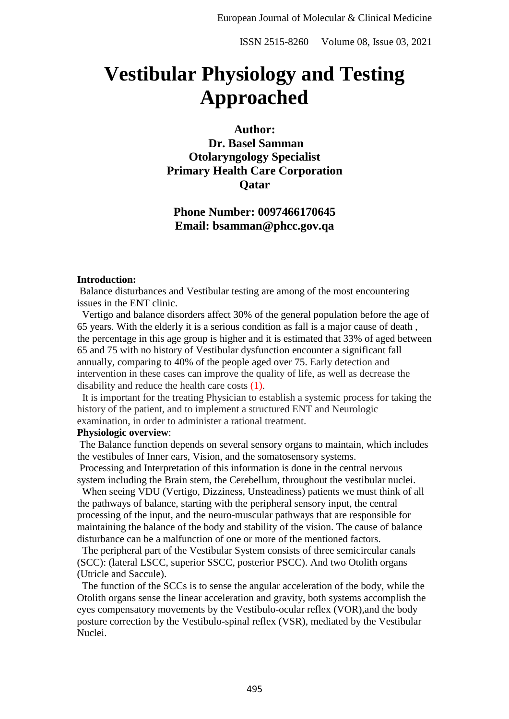# **Vestibular Physiology and Testing Approached**

**Author:**

**Dr. Basel Samman Otolaryngology Specialist Primary Health Care Corporation Qatar**

**Phone Number: 0097466170645 Email: bsamman@phcc.gov.qa**

#### **Introduction:**

Balance disturbances and Vestibular testing are among of the most encountering issues in the ENT clinic.

 Vertigo and balance disorders affect 30% of the general population before the age of 65 years. With the elderly it is a serious condition as fall is a major cause of death , the percentage in this age group is higher and it is estimated that 33% of aged between 65 and 75 with no history of Vestibular dysfunction encounter a significant fall annually, comparing to 40% of the people aged over 75. Early detection and intervention in these cases can improve the quality of life, as well as decrease the disability and reduce the health care costs (1).

It is important for the treating Physician to establish a systemic process for taking the history of the patient, and to implement a structured ENT and Neurologic examination, in order to administer a rational treatment.

#### **Physiologic overview**:

The Balance function depends on several sensory organs to maintain, which includes the vestibules of Inner ears, Vision, and the somatosensory systems.

Processing and Interpretation of this information is done in the central nervous system including the Brain stem, the Cerebellum, throughout the vestibular nuclei.

 When seeing VDU (Vertigo, Dizziness, Unsteadiness) patients we must think of all the pathways of balance, starting with the peripheral sensory input, the central processing of the input, and the neuro-muscular pathways that are responsible for maintaining the balance of the body and stability of the vision. The cause of balance disturbance can be a malfunction of one or more of the mentioned factors.

 The peripheral part of the Vestibular System consists of three semicircular canals (SCC): (lateral LSCC, superior SSCC, posterior PSCC). And two Otolith organs (Utricle and Saccule).

The function of the SCCs is to sense the angular acceleration of the body, while the Otolith organs sense the linear acceleration and gravity, both systems accomplish the eyes compensatory movements by the Vestibulo-ocular reflex (VOR),and the body posture correction by the Vestibulo-spinal reflex (VSR), mediated by the Vestibular Nuclei.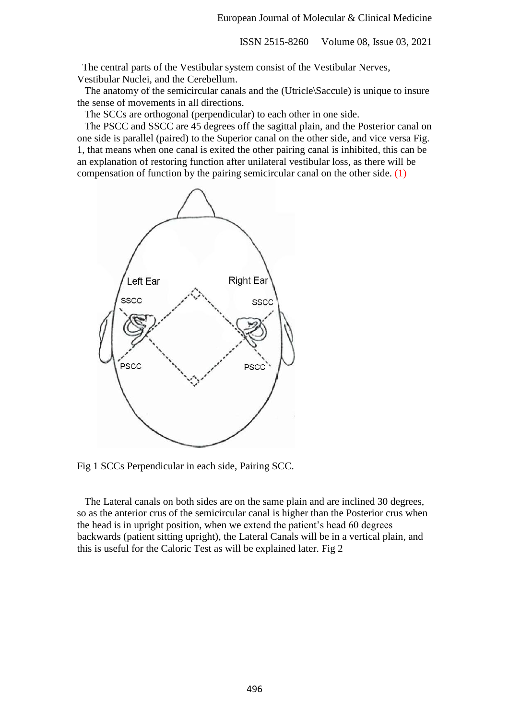The central parts of the Vestibular system consist of the Vestibular Nerves, Vestibular Nuclei, and the Cerebellum.

 The anatomy of the semicircular canals and the (Utricle\Saccule) is unique to insure the sense of movements in all directions.

The SCCs are orthogonal (perpendicular) to each other in one side.

 The PSCC and SSCC are 45 degrees off the sagittal plain, and the Posterior canal on one side is parallel (paired) to the Superior canal on the other side, and vice versa Fig. 1, that means when one canal is exited the other pairing canal is inhibited, this can be an explanation of restoring function after unilateral vestibular loss, as there will be compensation of function by the pairing semicircular canal on the other side. (1)



Fig 1 SCCs Perpendicular in each side, Pairing SCC.

 The Lateral canals on both sides are on the same plain and are inclined 30 degrees, so as the anterior crus of the semicircular canal is higher than the Posterior crus when the head is in upright position, when we extend the patient's head 60 degrees backwards (patient sitting upright), the Lateral Canals will be in a vertical plain, and this is useful for the Caloric Test as will be explained later. Fig 2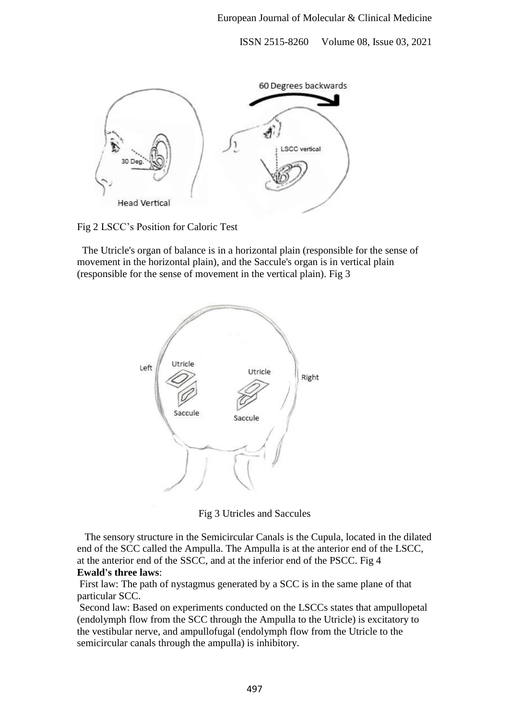

Fig 2 LSCC's Position for Caloric Test

 The Utricle's organ of balance is in a horizontal plain (responsible for the sense of movement in the horizontal plain), and the Saccule's organ is in vertical plain (responsible for the sense of movement in the vertical plain). Fig 3



Fig 3 Utricles and Saccules

 The sensory structure in the Semicircular Canals is the Cupula, located in the dilated end of the SCC called the Ampulla. The Ampulla is at the anterior end of the LSCC, at the anterior end of the SSCC, and at the inferior end of the PSCC. Fig 4 **Ewald's three laws**:

First law: The path of nystagmus generated by a SCC is in the same plane of that particular SCC.

Second law: Based on experiments conducted on the LSCCs states that ampullopetal (endolymph flow from the SCC through the Ampulla to the Utricle) is excitatory to the vestibular nerve, and ampullofugal (endolymph flow from the Utricle to the semicircular canals through the ampulla) is inhibitory.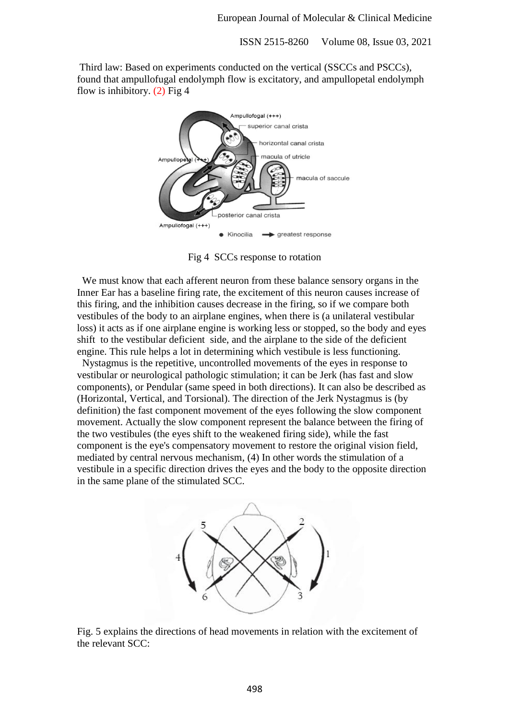Third law: Based on experiments conducted on the vertical (SSCCs and PSCCs), found that ampullofugal endolymph flow is excitatory, and ampullopetal endolymph flow is inhibitory.  $(2)$  Fig 4



Fig 4 SCCs response to rotation

 We must know that each afferent neuron from these balance sensory organs in the Inner Ear has a baseline firing rate, the excitement of this neuron causes increase of this firing, and the inhibition causes decrease in the firing, so if we compare both vestibules of the body to an airplane engines, when there is (a unilateral vestibular loss) it acts as if one airplane engine is working less or stopped, so the body and eyes shift to the vestibular deficient side, and the airplane to the side of the deficient engine. This rule helps a lot in determining which vestibule is less functioning.

 Nystagmus is the repetitive, uncontrolled movements of the eyes in response to vestibular or neurological pathologic stimulation; it can be Jerk (has fast and slow components), or Pendular (same speed in both directions). It can also be described as (Horizontal, Vertical, and Torsional). The direction of the Jerk Nystagmus is (by definition) the fast component movement of the eyes following the slow component movement. Actually the slow component represent the balance between the firing of the two vestibules (the eyes shift to the weakened firing side), while the fast component is the eye's compensatory movement to restore the original vision field, mediated by central nervous mechanism, (4) In other words the stimulation of a vestibule in a specific direction drives the eyes and the body to the opposite direction in the same plane of the stimulated SCC.



Fig. 5 explains the directions of head movements in relation with the excitement of the relevant SCC: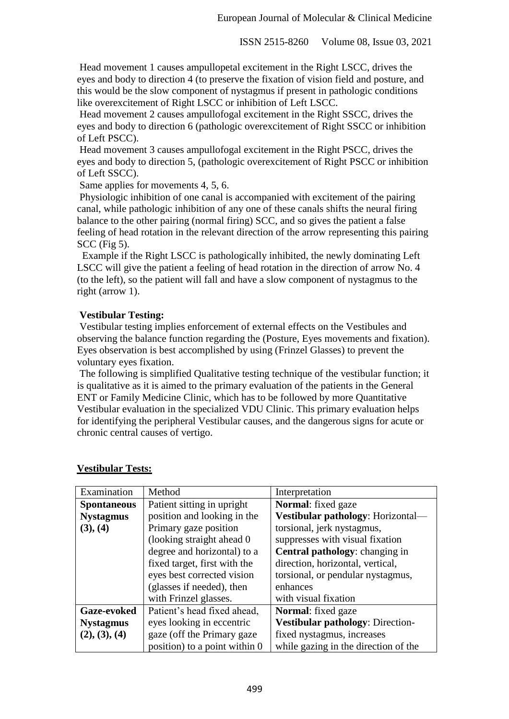Head movement 1 causes ampullopetal excitement in the Right LSCC, drives the eyes and body to direction 4 (to preserve the fixation of vision field and posture, and this would be the slow component of nystagmus if present in pathologic conditions like overexcitement of Right LSCC or inhibition of Left LSCC.

Head movement 2 causes ampullofogal excitement in the Right SSCC, drives the eyes and body to direction 6 (pathologic overexcitement of Right SSCC or inhibition of Left PSCC).

Head movement 3 causes ampullofogal excitement in the Right PSCC, drives the eyes and body to direction 5, (pathologic overexcitement of Right PSCC or inhibition of Left SSCC).

Same applies for movements 4, 5, 6.

Physiologic inhibition of one canal is accompanied with excitement of the pairing canal, while pathologic inhibition of any one of these canals shifts the neural firing balance to the other pairing (normal firing) SCC, and so gives the patient a false feeling of head rotation in the relevant direction of the arrow representing this pairing SCC (Fig 5).

Example if the Right LSCC is pathologically inhibited, the newly dominating Left LSCC will give the patient a feeling of head rotation in the direction of arrow No. 4 (to the left), so the patient will fall and have a slow component of nystagmus to the right (arrow 1).

# **Vestibular Testing:**

Vestibular testing implies enforcement of external effects on the Vestibules and observing the balance function regarding the (Posture, Eyes movements and fixation). Eyes observation is best accomplished by using (Frinzel Glasses) to prevent the voluntary eyes fixation.

The following is simplified Qualitative testing technique of the vestibular function; it is qualitative as it is aimed to the primary evaluation of the patients in the General ENT or Family Medicine Clinic, which has to be followed by more Quantitative Vestibular evaluation in the specialized VDU Clinic. This primary evaluation helps for identifying the peripheral Vestibular causes, and the dangerous signs for acute or chronic central causes of vertigo.

| Examination        | Method                        | Interpretation                          |
|--------------------|-------------------------------|-----------------------------------------|
| <b>Spontaneous</b> | Patient sitting in upright    | <b>Normal:</b> fixed gaze               |
| <b>Nystagmus</b>   | position and looking in the   | Vestibular pathology: Horizontal-       |
| (3), (4)           | Primary gaze position         | torsional, jerk nystagmus,              |
|                    | (looking straight ahead 0)    | suppresses with visual fixation         |
|                    | degree and horizontal) to a   | <b>Central pathology:</b> changing in   |
|                    | fixed target, first with the  | direction, horizontal, vertical,        |
|                    | eyes best corrected vision    | torsional, or pendular nystagmus,       |
|                    | (glasses if needed), then     | enhances                                |
|                    | with Frinzel glasses.         | with visual fixation                    |
| <b>Gaze-evoked</b> | Patient's head fixed ahead,   | <b>Normal:</b> fixed gaze               |
| <b>Nystagmus</b>   | eyes looking in eccentric     | <b>Vestibular pathology: Direction-</b> |
| (2), (3), (4)      | gaze (off the Primary gaze)   | fixed nystagmus, increases              |
|                    | position) to a point within 0 | while gazing in the direction of the    |

## **Vestibular Tests:**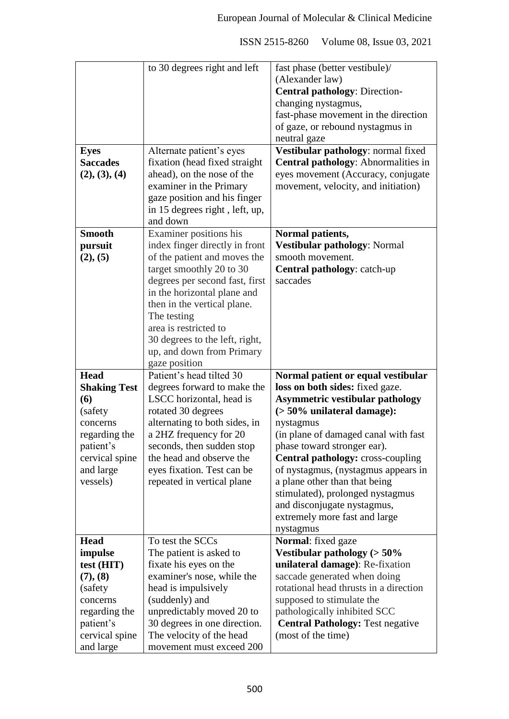|                             | to 30 degrees right and left                             | fast phase (better vestibule)/                                |
|-----------------------------|----------------------------------------------------------|---------------------------------------------------------------|
|                             |                                                          | (Alexander law)                                               |
|                             |                                                          | <b>Central pathology: Direction-</b>                          |
|                             |                                                          | changing nystagmus,                                           |
|                             |                                                          | fast-phase movement in the direction                          |
|                             |                                                          | of gaze, or rebound nystagmus in                              |
|                             |                                                          |                                                               |
|                             |                                                          | neutral gaze                                                  |
| <b>Eyes</b>                 | Alternate patient's eyes                                 | Vestibular pathology: normal fixed                            |
| <b>Saccades</b>             | fixation (head fixed straight                            | Central pathology: Abnormalities in                           |
| (2), (3), (4)               | ahead), on the nose of the                               | eyes movement (Accuracy, conjugate                            |
|                             | examiner in the Primary                                  | movement, velocity, and initiation)                           |
|                             | gaze position and his finger                             |                                                               |
|                             | in 15 degrees right, left, up,                           |                                                               |
|                             | and down                                                 |                                                               |
| <b>Smooth</b>               | Examiner positions his                                   | Normal patients,                                              |
| pursuit                     | index finger directly in front                           | Vestibular pathology: Normal                                  |
| (2), (5)                    | of the patient and moves the                             | smooth movement.                                              |
|                             | target smoothly 20 to 30                                 | Central pathology: catch-up                                   |
|                             | degrees per second fast, first                           | saccades                                                      |
|                             | in the horizontal plane and                              |                                                               |
|                             |                                                          |                                                               |
|                             | then in the vertical plane.                              |                                                               |
|                             | The testing                                              |                                                               |
|                             | area is restricted to                                    |                                                               |
|                             | 30 degrees to the left, right,                           |                                                               |
|                             | up, and down from Primary                                |                                                               |
|                             | gaze position                                            |                                                               |
|                             |                                                          |                                                               |
| <b>Head</b>                 | Patient's head tilted 30                                 | Normal patient or equal vestibular                            |
| <b>Shaking Test</b>         | degrees forward to make the                              | loss on both sides: fixed gaze.                               |
|                             | LSCC horizontal, head is                                 |                                                               |
| (6)                         |                                                          | <b>Asymmetric vestibular pathology</b>                        |
| (safety)                    | rotated 30 degrees                                       | $($ > 50% unilateral damage):                                 |
| concerns                    | alternating to both sides, in                            | nystagmus                                                     |
| regarding the               | a 2HZ frequency for 20                                   | (in plane of damaged canal with fast                          |
| patient's                   | seconds, then sudden stop                                | phase toward stronger ear).                                   |
| cervical spine              | the head and observe the                                 | <b>Central pathology: cross-coupling</b>                      |
| and large                   | eyes fixation. Test can be                               | of nystagmus, (nystagmus appears in                           |
| vessels)                    | repeated in vertical plane                               | a plane other than that being                                 |
|                             |                                                          | stimulated), prolonged nystagmus                              |
|                             |                                                          | and disconjugate nystagmus,                                   |
|                             |                                                          | extremely more fast and large                                 |
|                             |                                                          | nystagmus                                                     |
| <b>Head</b>                 | To test the SCCs                                         | Normal: fixed gaze                                            |
| impulse                     | The patient is asked to                                  | Vestibular pathology ( $> 50\%$                               |
| test (HIT)                  | fixate his eyes on the                                   | unilateral damage): Re-fixation                               |
| (7), (8)                    | examiner's nose, while the                               | saccade generated when doing                                  |
| (safety)                    | head is impulsively                                      | rotational head thrusts in a direction                        |
| concerns                    |                                                          |                                                               |
|                             | (suddenly) and                                           | supposed to stimulate the                                     |
| regarding the               | unpredictably moved 20 to                                | pathologically inhibited SCC                                  |
| patient's<br>cervical spine | 30 degrees in one direction.<br>The velocity of the head | <b>Central Pathology: Test negative</b><br>(most of the time) |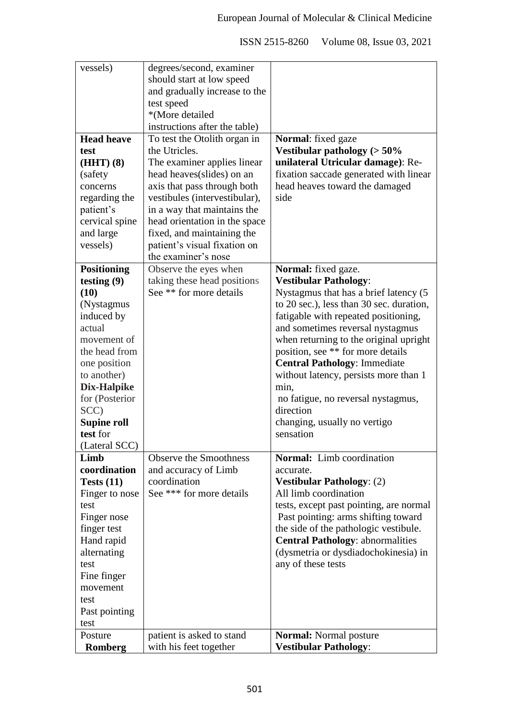| vessels)           | degrees/second, examiner                               |                                          |
|--------------------|--------------------------------------------------------|------------------------------------------|
|                    | should start at low speed                              |                                          |
|                    | and gradually increase to the                          |                                          |
|                    | test speed                                             |                                          |
|                    | *(More detailed                                        |                                          |
|                    | instructions after the table)                          |                                          |
| <b>Head heave</b>  | To test the Otolith organ in                           | Normal: fixed gaze                       |
| test               | the Utricles.                                          | Vestibular pathology ( $> 50\%$          |
| $(HHT)$ (8)        | The examiner applies linear                            | unilateral Utricular damage): Re-        |
| (safety            | head heaves (slides) on an                             | fixation saccade generated with linear   |
| concerns           | axis that pass through both                            | head heaves toward the damaged           |
| regarding the      | vestibules (intervestibular),                          | side                                     |
| patient's          | in a way that maintains the                            |                                          |
| cervical spine     | head orientation in the space                          |                                          |
| and large          | fixed, and maintaining the                             |                                          |
| vessels)           | patient's visual fixation on                           |                                          |
|                    | the examiner's nose                                    |                                          |
| <b>Positioning</b> | Observe the eyes when                                  | Normal: fixed gaze.                      |
|                    |                                                        |                                          |
| testing $(9)$      | taking these head positions<br>See ** for more details | <b>Vestibular Pathology:</b>             |
| (10)               |                                                        | Nystagmus that has a brief latency (5)   |
| (Nystagmus         |                                                        | to 20 sec.), less than 30 sec. duration, |
| induced by         |                                                        | fatigable with repeated positioning,     |
| actual             |                                                        | and sometimes reversal nystagmus         |
| movement of        |                                                        | when returning to the original upright   |
| the head from      |                                                        | position, see ** for more details        |
| one position       |                                                        | <b>Central Pathology: Immediate</b>      |
| to another)        |                                                        | without latency, persists more than 1    |
| Dix-Halpike        |                                                        | min,                                     |
| for (Posterior     |                                                        | no fatigue, no reversal nystagmus,       |
| SCC)               |                                                        | direction                                |
| <b>Supine roll</b> |                                                        | changing, usually no vertigo             |
| test for           |                                                        | sensation                                |
| (Lateral SCC)      |                                                        |                                          |
| Limb               | <b>Observe the Smoothness</b>                          | Normal: Limb coordination                |
| coordination       | and accuracy of Limb                                   | accurate.                                |
| Tests $(11)$       | coordination                                           | <b>Vestibular Pathology: (2)</b>         |
| Finger to nose     | See *** for more details                               | All limb coordination                    |
| test               |                                                        | tests, except past pointing, are normal  |
| Finger nose        |                                                        | Past pointing: arms shifting toward      |
| finger test        |                                                        | the side of the pathologic vestibule.    |
| Hand rapid         |                                                        | <b>Central Pathology: abnormalities</b>  |
| alternating        |                                                        | (dysmetria or dysdiadochokinesia) in     |
| test               |                                                        | any of these tests                       |
| Fine finger        |                                                        |                                          |
| movement           |                                                        |                                          |
| test               |                                                        |                                          |
| Past pointing      |                                                        |                                          |
| test               |                                                        |                                          |
| Posture            |                                                        |                                          |
|                    | patient is asked to stand                              | <b>Normal:</b> Normal posture            |
| <b>Romberg</b>     | with his feet together                                 | <b>Vestibular Pathology:</b>             |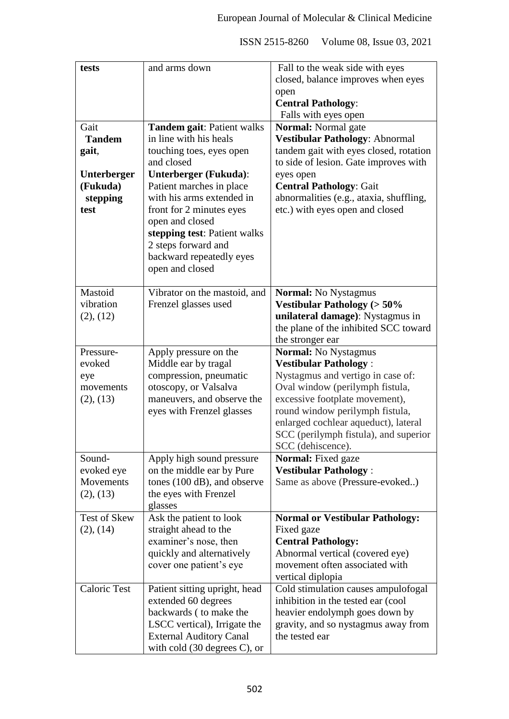| tests               | and arms down                      | Fall to the weak side with eyes         |
|---------------------|------------------------------------|-----------------------------------------|
|                     |                                    | closed, balance improves when eyes      |
|                     |                                    | open                                    |
|                     |                                    | <b>Central Pathology:</b>               |
|                     |                                    | Falls with eyes open                    |
| Gait                | Tandem gait: Patient walks         | <b>Normal:</b> Normal gate              |
| <b>Tandem</b>       | in line with his heals             | Vestibular Pathology: Abnormal          |
| gait,               | touching toes, eyes open           | tandem gait with eyes closed, rotation  |
|                     | and closed                         | to side of lesion. Gate improves with   |
| <b>Unterberger</b>  | Unterberger (Fukuda):              | eyes open                               |
| (Fukuda)            | Patient marches in place           | <b>Central Pathology: Gait</b>          |
| stepping            | with his arms extended in          | abnormalities (e.g., ataxia, shuffling, |
| test                | front for 2 minutes eyes           | etc.) with eyes open and closed         |
|                     | open and closed                    |                                         |
|                     | stepping test: Patient walks       |                                         |
|                     | 2 steps forward and                |                                         |
|                     | backward repeatedly eyes           |                                         |
|                     | open and closed                    |                                         |
|                     |                                    |                                         |
| Mastoid             | Vibrator on the mastoid, and       | <b>Normal:</b> No Nystagmus             |
| vibration           | Frenzel glasses used               | Vestibular Pathology ( $> 50\%$         |
| (2), (12)           |                                    | unilateral damage): Nystagmus in        |
|                     |                                    | the plane of the inhibited SCC toward   |
|                     |                                    | the stronger ear                        |
| Pressure-           | Apply pressure on the              | <b>Normal:</b> No Nystagmus             |
| evoked              | Middle ear by tragal               | <b>Vestibular Pathology:</b>            |
| eye                 | compression, pneumatic             | Nystagmus and vertigo in case of:       |
| movements           | otoscopy, or Valsalva              | Oval window (perilymph fistula,         |
| (2), (13)           | maneuvers, and observe the         | excessive footplate movement),          |
|                     | eyes with Frenzel glasses          | round window perilymph fistula,         |
|                     |                                    | enlarged cochlear aqueduct), lateral    |
|                     |                                    | SCC (perilymph fistula), and superior   |
|                     |                                    | SCC (dehiscence).                       |
| Sound-              | Apply high sound pressure          | <b>Normal:</b> Fixed gaze               |
| evoked eye          | on the middle ear by Pure          | <b>Vestibular Pathology:</b>            |
| Movements           |                                    | Same as above (Pressure-evoked)         |
|                     | tones (100 dB), and observe        |                                         |
| (2), (13)           | the eyes with Frenzel              |                                         |
| <b>Test of Skew</b> | glasses<br>Ask the patient to look | <b>Normal or Vestibular Pathology:</b>  |
|                     | straight ahead to the              |                                         |
| (2), (14)           |                                    | Fixed gaze                              |
|                     | examiner's nose, then              | <b>Central Pathology:</b>               |
|                     | quickly and alternatively          | Abnormal vertical (covered eye)         |
|                     | cover one patient's eye            | movement often associated with          |
|                     |                                    | vertical diplopia                       |
| <b>Caloric Test</b> | Patient sitting upright, head      | Cold stimulation causes ampulofogal     |
|                     | extended 60 degrees                | inhibition in the tested ear (cool      |
|                     | backwards (to make the             | heavier endolymph goes down by          |
|                     | LSCC vertical), Irrigate the       | gravity, and so nystagmus away from     |
|                     | <b>External Auditory Canal</b>     | the tested ear                          |
|                     | with cold $(30$ degrees C), or     |                                         |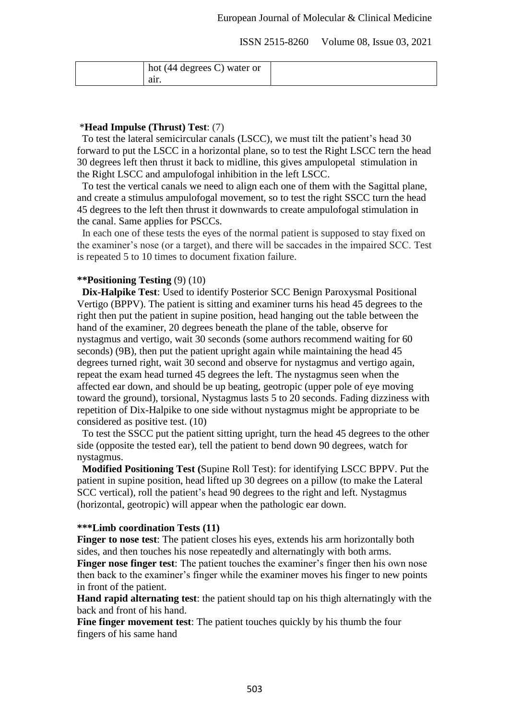| hot $(44$ degrees C) water or |  |
|-------------------------------|--|
| air.                          |  |

#### \***Head Impulse (Thrust) Test**: (7)

 To test the lateral semicircular canals (LSCC), we must tilt the patient's head 30 forward to put the LSCC in a horizontal plane, so to test the Right LSCC tern the head 30 degrees left then thrust it back to midline, this gives ampulopetal stimulation in the Right LSCC and ampulofogal inhibition in the left LSCC.

 To test the vertical canals we need to align each one of them with the Sagittal plane, and create a stimulus ampulofogal movement, so to test the right SSCC turn the head 45 degrees to the left then thrust it downwards to create ampulofogal stimulation in the canal. Same applies for PSCCs.

 In each one of these tests the eyes of the normal patient is supposed to stay fixed on the examiner's nose (or a target), and there will be saccades in the impaired SCC. Test is repeated 5 to 10 times to document fixation failure.

## **\*\*Positioning Testing** (9) (10)

 **Dix-Halpike Test**: Used to identify Posterior SCC Benign Paroxysmal Positional Vertigo (BPPV). The patient is sitting and examiner turns his head 45 degrees to the right then put the patient in supine position, head hanging out the table between the hand of the examiner, 20 degrees beneath the plane of the table, observe for nystagmus and vertigo, wait 30 seconds (some authors recommend waiting for 60 seconds) (9B), then put the patient upright again while maintaining the head 45 degrees turned right, wait 30 second and observe for nystagmus and vertigo again, repeat the exam head turned 45 degrees the left. The nystagmus seen when the affected ear down, and should be up beating, geotropic (upper pole of eye moving toward the ground), torsional, Nystagmus lasts 5 to 20 seconds. Fading dizziness with repetition of Dix-Halpike to one side without nystagmus might be appropriate to be considered as positive test. (10)

 To test the SSCC put the patient sitting upright, turn the head 45 degrees to the other side (opposite the tested ear), tell the patient to bend down 90 degrees, watch for nystagmus.

 **Modified Positioning Test (**Supine Roll Test): for identifying LSCC BPPV. Put the patient in supine position, head lifted up 30 degrees on a pillow (to make the Lateral SCC vertical), roll the patient's head 90 degrees to the right and left. Nystagmus (horizontal, geotropic) will appear when the pathologic ear down.

## **\*\*\*Limb coordination Tests (11)**

**Finger to nose test**: The patient closes his eyes, extends his arm horizontally both sides, and then touches his nose repeatedly and alternatingly with both arms. **Finger nose finger test**: The patient touches the examiner's finger then his own nose then back to the examiner's finger while the examiner moves his finger to new points in front of the patient.

**Hand rapid alternating test**: the patient should tap on his thigh alternatingly with the back and front of his hand.

**Fine finger movement test**: The patient touches quickly by his thumb the four fingers of his same hand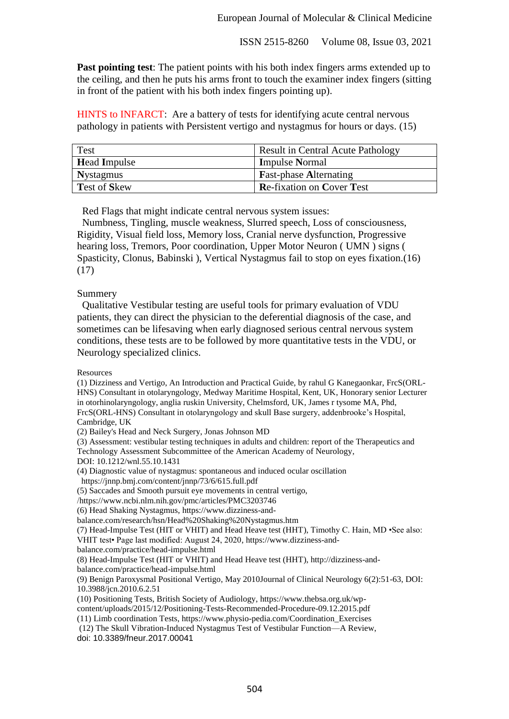**Past pointing test**: The patient points with his both index fingers arms extended up to the ceiling, and then he puts his arms front to touch the examiner index fingers (sitting in front of the patient with his both index fingers pointing up).

HINTS to INFARCT: Are a battery of tests for identifying acute central nervous pathology in patients with Persistent vertigo and nystagmus for hours or days. (15)

| <b>Test</b>         | <b>Result in Central Acute Pathology</b> |
|---------------------|------------------------------------------|
| <b>Head Impulse</b> | <b>Impulse Normal</b>                    |
| <b>Nystagmus</b>    | <b>Fast-phase Alternating</b>            |
| <b>Test of Skew</b> | <b>Re-fixation on Cover Test</b>         |

Red Flags that might indicate central nervous system issues:

 Numbness, Tingling, muscle weakness, Slurred speech, Loss of consciousness, Rigidity, Visual field loss, Memory loss, Cranial nerve dysfunction, Progressive hearing loss, Tremors, Poor coordination, Upper Motor Neuron ( UMN ) signs ( Spasticity, Clonus, Babinski ), Vertical Nystagmus fail to stop on eyes fixation.(16) (17)

#### Summery

 Qualitative Vestibular testing are useful tools for primary evaluation of VDU patients, they can direct the physician to the deferential diagnosis of the case, and sometimes can be lifesaving when early diagnosed serious central nervous system conditions, these tests are to be followed by more quantitative tests in the VDU, or Neurology specialized clinics.

Resources

(1) Dizziness and Vertigo, An Introduction and Practical Guide, by rahul G Kanegaonkar, FrcS(ORL-HNS) Consultant in otolaryngology, Medway Maritime Hospital, Kent, UK, Honorary senior Lecturer in otorhinolaryngology, anglia ruskin University, Chelmsford, UK, James r tysome MA, Phd, FrcS(ORL-HNS) Consultant in otolaryngology and skull Base surgery, addenbrooke's Hospital, Cambridge, UK

(2) Bailey's Head and Neck Surgery, Jonas Johnson MD

(3) Assessment: vestibular testing techniques in adults and children: report of the Therapeutics and Technology Assessment Subcommittee of the American Academy of Neurology,

DOI: 10.1212/wnl.55.10.1431

(4) Diagnostic value of nystagmus: spontaneous and induced ocular oscillation

https://jnnp.bmj.com/content/jnnp/73/6/615.full.pdf

(5) Saccades and Smooth pursuit eye movements in central vertigo,

/https://www.ncbi.nlm.nih.gov/pmc/articles/PMC3203746

(6) Head Shaking Nystagmus, https://www.dizziness-and-

balance.com/research/hsn/Head%20Shaking%20Nystagmus.htm

(7) Head-Impulse Test (HIT or VHIT) and Head Heave test (HHT), Timothy C. Hain, MD •See also: VHIT test• Page last modified: August 24, 2020, https://www.dizziness-and-

balance.com/practice/head-impulse.html

(8) Head-Impulse Test (HIT or VHIT) and Head Heave test (HHT), http://dizziness-andbalance.com/practice/head-impulse.html

(9) Benign Paroxysmal Positional Vertigo, May 2010Journal of Clinical Neurology 6(2):51-63, DOI:

10.3988/jcn.2010.6.2.51

(10) Positioning Tests, British Society of Audiology, https://www.thebsa.org.uk/wpcontent/uploads/2015/12/Positioning-Tests-Recommended-Procedure-09.12.2015.pdf

(11) Limb coordination Tests, https://www.physio-pedia.com/Coordination\_Exercises

(12) The Skull Vibration-Induced Nystagmus Test of Vestibular Function—A Review, doi: 10.3389/fneur.2017.00041